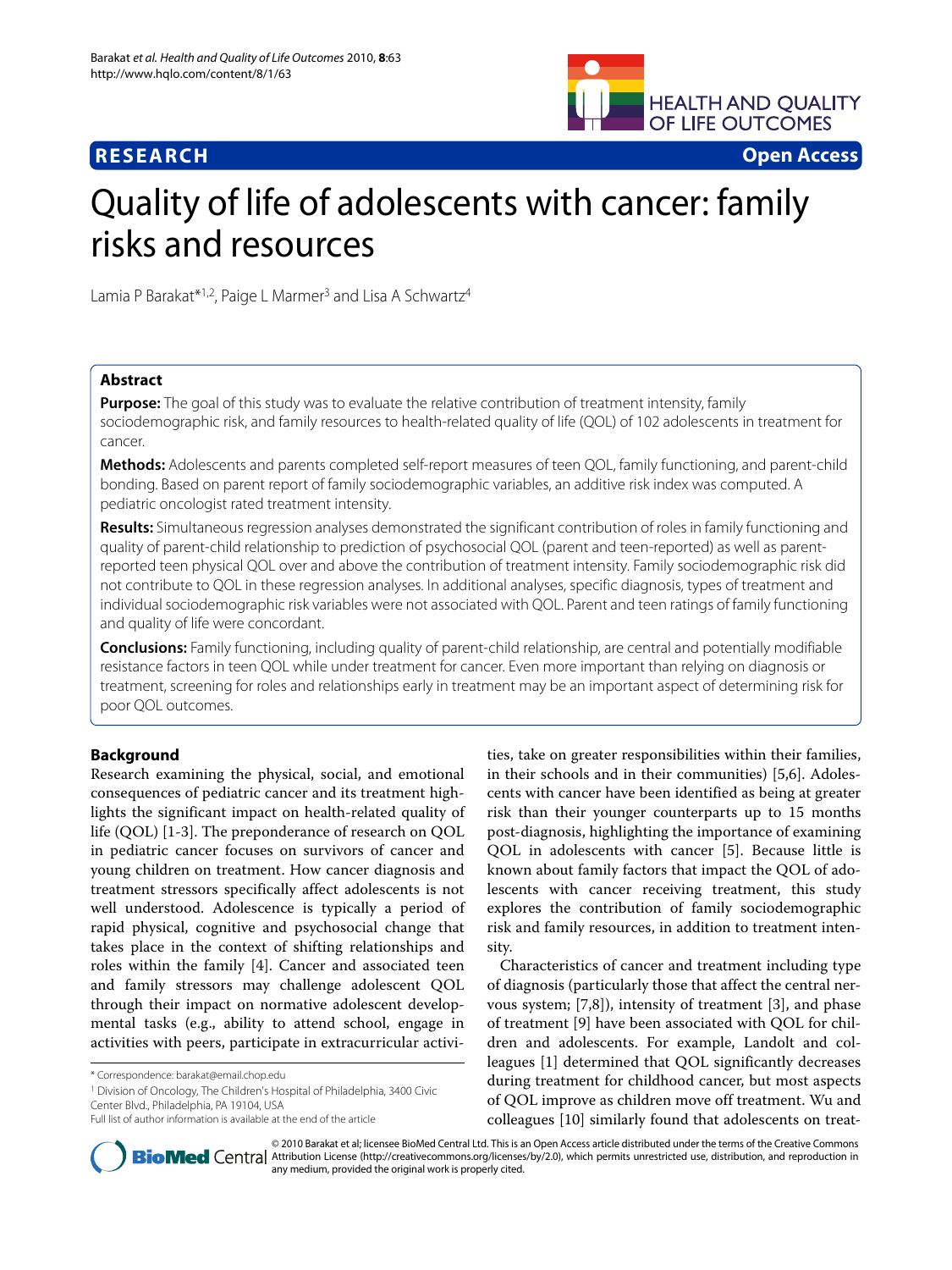# **RESEARCH Open Access**



# Quality of life of adolescents with cancer: family risks and resources

Lamia P Barakat<sup>\*1,2</sup>, Paige L Marmer<sup>3</sup> and Lisa A Schwartz<sup>4</sup>

# **Abstract**

**Purpose:** The goal of this study was to evaluate the relative contribution of treatment intensity, family sociodemographic risk, and family resources to health-related quality of life (QOL) of 102 adolescents in treatment for cancer.

**Methods:** Adolescents and parents completed self-report measures of teen QOL, family functioning, and parent-child bonding. Based on parent report of family sociodemographic variables, an additive risk index was computed. A pediatric oncologist rated treatment intensity.

**Results:** Simultaneous regression analyses demonstrated the significant contribution of roles in family functioning and quality of parent-child relationship to prediction of psychosocial QOL (parent and teen-reported) as well as parentreported teen physical QOL over and above the contribution of treatment intensity. Family sociodemographic risk did not contribute to QOL in these regression analyses. In additional analyses, specific diagnosis, types of treatment and individual sociodemographic risk variables were not associated with QOL. Parent and teen ratings of family functioning and quality of life were concordant.

**Conclusions:** Family functioning, including quality of parent-child relationship, are central and potentially modifiable resistance factors in teen QOL while under treatment for cancer. Even more important than relying on diagnosis or treatment, screening for roles and relationships early in treatment may be an important aspect of determining risk for poor QOL outcomes.

# **Background**

Research examining the physical, social, and emotional consequences of pediatric cancer and its treatment highlights the significant impact on health-related quality of life (QOL) [[1-](#page-6-0)[3](#page-7-0)]. The preponderance of research on QOL in pediatric cancer focuses on survivors of cancer and young children on treatment. How cancer diagnosis and treatment stressors specifically affect adolescents is not well understood. Adolescence is typically a period of rapid physical, cognitive and psychosocial change that takes place in the context of shifting relationships and roles within the family [\[4](#page-7-1)]. Cancer and associated teen and family stressors may challenge adolescent QOL through their impact on normative adolescent developmental tasks (e.g., ability to attend school, engage in activities with peers, participate in extracurricular activi-

1 Division of Oncology, The Children's Hospital of Philadelphia, 3400 Civic Center Blvd., Philadelphia, PA 19104, USA

ties, take on greater responsibilities within their families, in their schools and in their communities) [\[5](#page-7-2)[,6](#page-7-3)]. Adolescents with cancer have been identified as being at greater risk than their younger counterparts up to 15 months post-diagnosis, highlighting the importance of examining QOL in adolescents with cancer [[5\]](#page-7-2). Because little is known about family factors that impact the QOL of adolescents with cancer receiving treatment, this study explores the contribution of family sociodemographic risk and family resources, in addition to treatment intensity.

Characteristics of cancer and treatment including type of diagnosis (particularly those that affect the central nervous system; [\[7](#page-7-4)[,8](#page-7-5)]), intensity of treatment [\[3](#page-7-0)], and phase of treatment [[9\]](#page-7-6) have been associated with QOL for children and adolescents. For example, Landolt and colleagues [\[1](#page-6-0)] determined that QOL significantly decreases during treatment for childhood cancer, but most aspects of QOL improve as children move off treatment. Wu and colleagues [[10\]](#page-7-7) similarly found that adolescents on treat-



© 2010 Barakat et al; licensee BioMed Central Ltd. This is an Open Access article distributed under the terms of the Creative Commons **Bio Med Centra** Attribution License (http://creativecommons.org/licenses/by/2.0), which permits unrestricted use, distribution, and reproduction in any medium, provided the original work is properly cited.

<sup>\*</sup> Correspondence: barakat@email.chop.edu

Full list of author information is available at the end of the article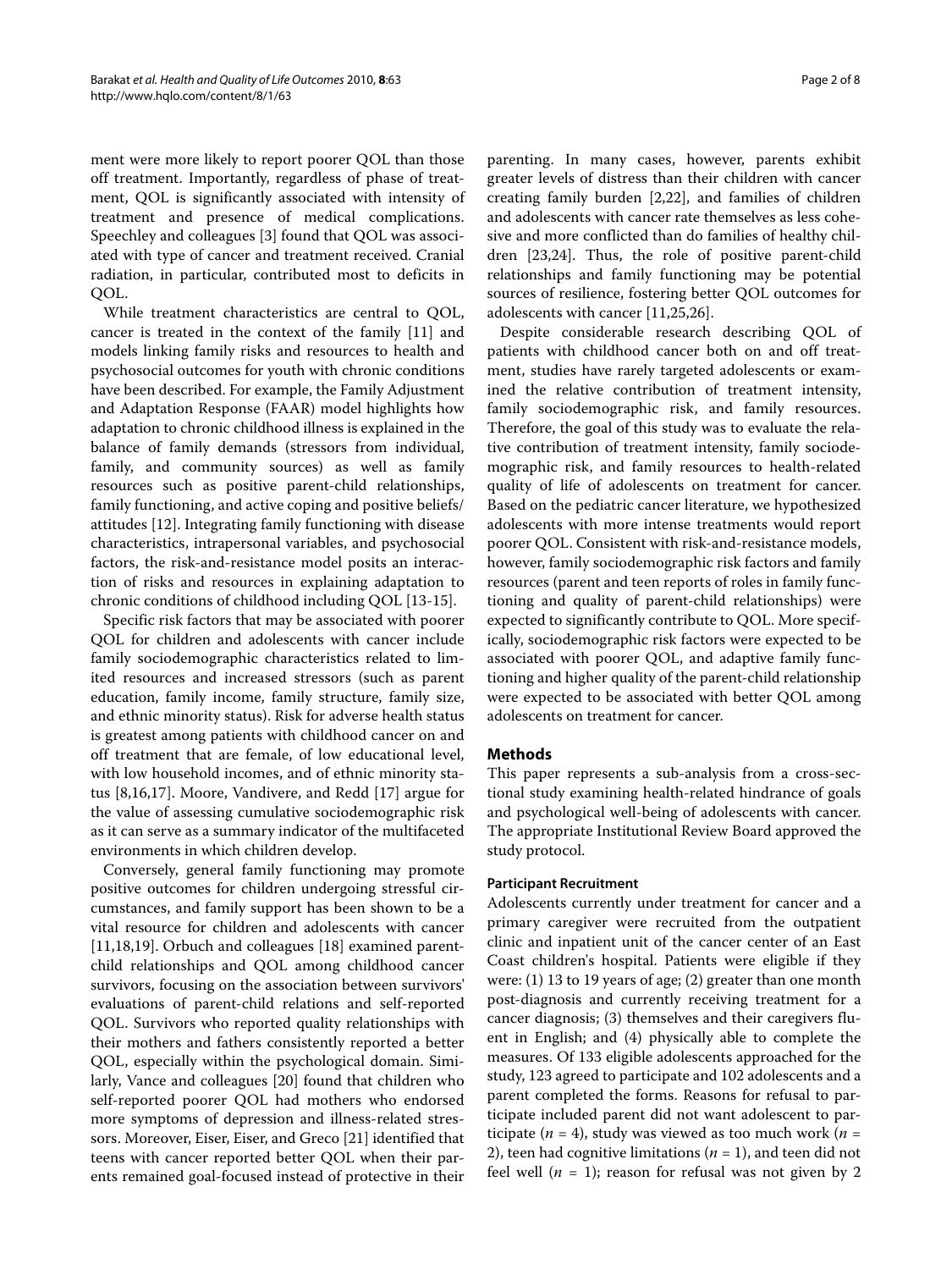ment were more likely to report poorer QOL than those off treatment. Importantly, regardless of phase of treatment, QOL is significantly associated with intensity of treatment and presence of medical complications. Speechley and colleagues [\[3](#page-7-0)] found that QOL was associated with type of cancer and treatment received. Cranial radiation, in particular, contributed most to deficits in QOL.

While treatment characteristics are central to QOL, cancer is treated in the context of the family [\[11\]](#page-7-8) and models linking family risks and resources to health and psychosocial outcomes for youth with chronic conditions have been described. For example, the Family Adjustment and Adaptation Response (FAAR) model highlights how adaptation to chronic childhood illness is explained in the balance of family demands (stressors from individual, family, and community sources) as well as family resources such as positive parent-child relationships, family functioning, and active coping and positive beliefs/ attitudes [[12\]](#page-7-9). Integrating family functioning with disease characteristics, intrapersonal variables, and psychosocial factors, the risk-and-resistance model posits an interaction of risks and resources in explaining adaptation to chronic conditions of childhood including QOL [\[13](#page-7-10)[-15](#page-7-11)].

Specific risk factors that may be associated with poorer QOL for children and adolescents with cancer include family sociodemographic characteristics related to limited resources and increased stressors (such as parent education, family income, family structure, family size, and ethnic minority status). Risk for adverse health status is greatest among patients with childhood cancer on and off treatment that are female, of low educational level, with low household incomes, and of ethnic minority status [\[8](#page-7-5)[,16](#page-7-12)[,17](#page-7-13)]. Moore, Vandivere, and Redd [\[17](#page-7-13)] argue for the value of assessing cumulative sociodemographic risk as it can serve as a summary indicator of the multifaceted environments in which children develop.

Conversely, general family functioning may promote positive outcomes for children undergoing stressful circumstances, and family support has been shown to be a vital resource for children and adolescents with cancer [[11,](#page-7-8)[18,](#page-7-14)[19\]](#page-7-15). Orbuch and colleagues [\[18](#page-7-14)] examined parentchild relationships and QOL among childhood cancer survivors, focusing on the association between survivors' evaluations of parent-child relations and self-reported QOL. Survivors who reported quality relationships with their mothers and fathers consistently reported a better QOL, especially within the psychological domain. Similarly, Vance and colleagues [[20\]](#page-7-16) found that children who self-reported poorer QOL had mothers who endorsed more symptoms of depression and illness-related stressors. Moreover, Eiser, Eiser, and Greco [[21\]](#page-7-17) identified that teens with cancer reported better QOL when their parents remained goal-focused instead of protective in their

parenting. In many cases, however, parents exhibit greater levels of distress than their children with cancer creating family burden [\[2](#page-6-1)[,22](#page-7-18)], and families of children and adolescents with cancer rate themselves as less cohesive and more conflicted than do families of healthy children [[23,](#page-7-19)[24\]](#page-7-20). Thus, the role of positive parent-child relationships and family functioning may be potential sources of resilience, fostering better QOL outcomes for adolescents with cancer [\[11](#page-7-8)[,25](#page-7-21)[,26](#page-7-22)].

Despite considerable research describing QOL of patients with childhood cancer both on and off treatment, studies have rarely targeted adolescents or examined the relative contribution of treatment intensity, family sociodemographic risk, and family resources. Therefore, the goal of this study was to evaluate the relative contribution of treatment intensity, family sociodemographic risk, and family resources to health-related quality of life of adolescents on treatment for cancer. Based on the pediatric cancer literature, we hypothesized adolescents with more intense treatments would report poorer QOL. Consistent with risk-and-resistance models, however, family sociodemographic risk factors and family resources (parent and teen reports of roles in family functioning and quality of parent-child relationships) were expected to significantly contribute to QOL. More specifically, sociodemographic risk factors were expected to be associated with poorer QOL, and adaptive family functioning and higher quality of the parent-child relationship were expected to be associated with better QOL among adolescents on treatment for cancer.

# **Methods**

This paper represents a sub-analysis from a cross-sectional study examining health-related hindrance of goals and psychological well-being of adolescents with cancer. The appropriate Institutional Review Board approved the study protocol.

#### **Participant Recruitment**

Adolescents currently under treatment for cancer and a primary caregiver were recruited from the outpatient clinic and inpatient unit of the cancer center of an East Coast children's hospital. Patients were eligible if they were: (1) 13 to 19 years of age; (2) greater than one month post-diagnosis and currently receiving treatment for a cancer diagnosis; (3) themselves and their caregivers fluent in English; and (4) physically able to complete the measures. Of 133 eligible adolescents approached for the study, 123 agreed to participate and 102 adolescents and a parent completed the forms. Reasons for refusal to participate included parent did not want adolescent to participate ( $n = 4$ ), study was viewed as too much work ( $n =$ 2), teen had cognitive limitations ( $n = 1$ ), and teen did not feel well  $(n = 1)$ ; reason for refusal was not given by 2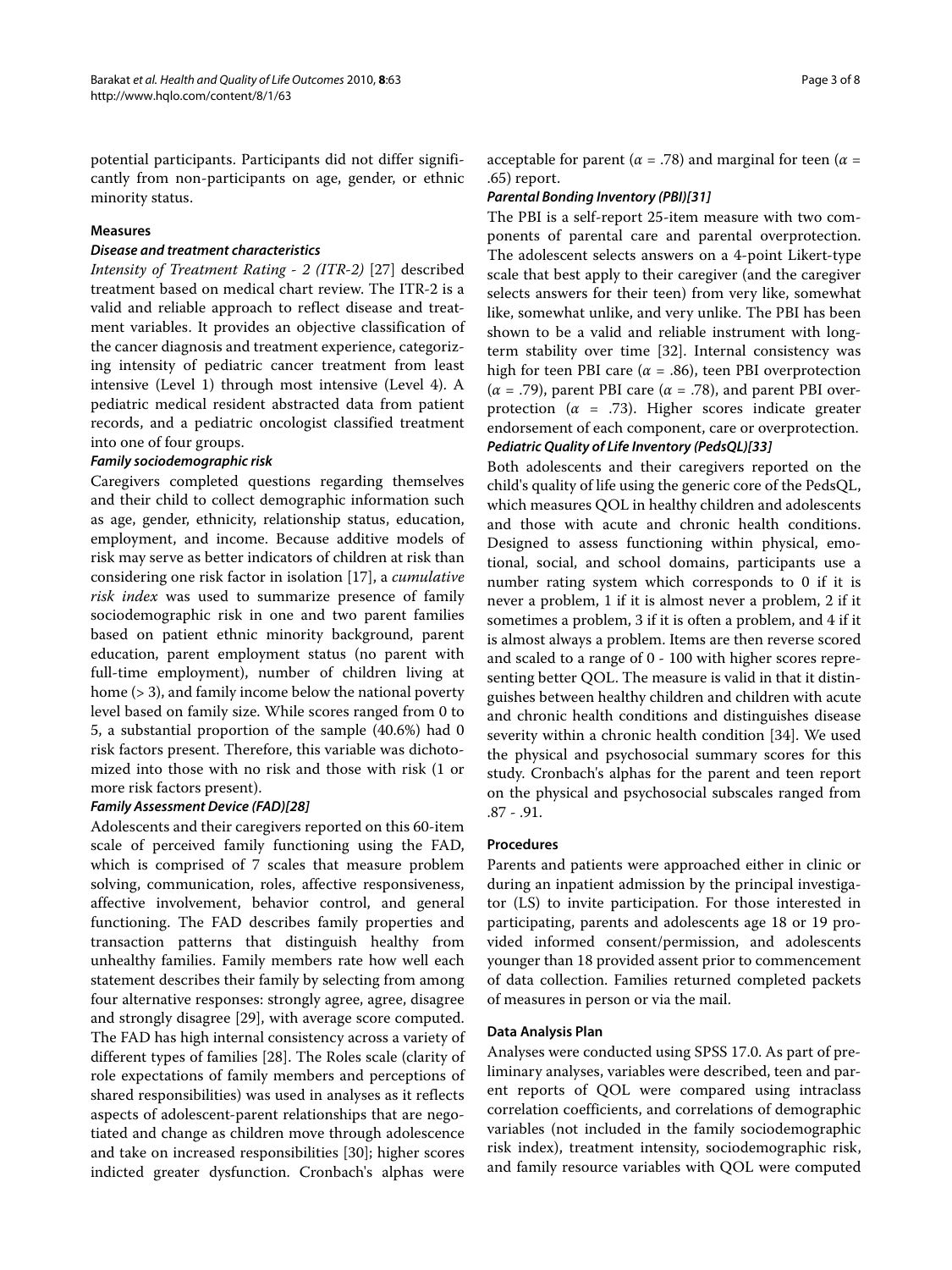potential participants. Participants did not differ significantly from non-participants on age, gender, or ethnic minority status.

## **Measures**

## **Disease and treatment characteristics**

*Intensity of Treatment Rating - 2 (ITR-2)* [\[27](#page-7-23)] described treatment based on medical chart review. The ITR-2 is a valid and reliable approach to reflect disease and treatment variables. It provides an objective classification of the cancer diagnosis and treatment experience, categorizing intensity of pediatric cancer treatment from least intensive (Level 1) through most intensive (Level 4). A pediatric medical resident abstracted data from patient records, and a pediatric oncologist classified treatment into one of four groups.

# **Family sociodemographic risk**

Caregivers completed questions regarding themselves and their child to collect demographic information such as age, gender, ethnicity, relationship status, education, employment, and income. Because additive models of risk may serve as better indicators of children at risk than considering one risk factor in isolation [\[17](#page-7-13)], a *cumulative risk index* was used to summarize presence of family sociodemographic risk in one and two parent families based on patient ethnic minority background, parent education, parent employment status (no parent with full-time employment), number of children living at home ( $>$  3), and family income below the national poverty level based on family size. While scores ranged from 0 to 5, a substantial proportion of the sample (40.6%) had 0 risk factors present. Therefore, this variable was dichotomized into those with no risk and those with risk (1 or more risk factors present).

# **Family Assessment Device (FAD)[\[28\]](#page-7-24)**

Adolescents and their caregivers reported on this 60-item scale of perceived family functioning using the FAD, which is comprised of 7 scales that measure problem solving, communication, roles, affective responsiveness, affective involvement, behavior control, and general functioning. The FAD describes family properties and transaction patterns that distinguish healthy from unhealthy families. Family members rate how well each statement describes their family by selecting from among four alternative responses: strongly agree, agree, disagree and strongly disagree [\[29](#page-7-25)], with average score computed. The FAD has high internal consistency across a variety of different types of families [\[28\]](#page-7-24). The Roles scale (clarity of role expectations of family members and perceptions of shared responsibilities) was used in analyses as it reflects aspects of adolescent-parent relationships that are negotiated and change as children move through adolescence and take on increased responsibilities [[30\]](#page-7-26); higher scores indicted greater dysfunction. Cronbach's alphas were acceptable for parent ( $\alpha$  = .78) and marginal for teen ( $\alpha$  = .65) report.

## **Parental Bonding Inventory (PBI)[\[31\]](#page-7-27)**

The PBI is a self-report 25-item measure with two components of parental care and parental overprotection. The adolescent selects answers on a 4-point Likert-type scale that best apply to their caregiver (and the caregiver selects answers for their teen) from very like, somewhat like, somewhat unlike, and very unlike. The PBI has been shown to be a valid and reliable instrument with longterm stability over time [\[32](#page-7-28)]. Internal consistency was high for teen PBI care  $(\alpha = .86)$ , teen PBI overprotection (*α* = .79), parent PBI care (*α* = .78), and parent PBI overprotection  $(\alpha = .73)$ . Higher scores indicate greater endorsement of each component, care or overprotection. **Pediatric Quality of Life Inventory (PedsQL)[[33](#page-7-29)]**

Both adolescents and their caregivers reported on the child's quality of life using the generic core of the PedsQL, which measures QOL in healthy children and adolescents and those with acute and chronic health conditions. Designed to assess functioning within physical, emotional, social, and school domains, participants use a number rating system which corresponds to 0 if it is never a problem, 1 if it is almost never a problem, 2 if it sometimes a problem, 3 if it is often a problem, and 4 if it is almost always a problem. Items are then reverse scored and scaled to a range of 0 - 100 with higher scores representing better QOL. The measure is valid in that it distinguishes between healthy children and children with acute and chronic health conditions and distinguishes disease severity within a chronic health condition [\[34](#page-7-30)]. We used the physical and psychosocial summary scores for this study. Cronbach's alphas for the parent and teen report on the physical and psychosocial subscales ranged from .87 - .91.

# **Procedures**

Parents and patients were approached either in clinic or during an inpatient admission by the principal investigator (LS) to invite participation. For those interested in participating, parents and adolescents age 18 or 19 provided informed consent/permission, and adolescents younger than 18 provided assent prior to commencement of data collection. Families returned completed packets of measures in person or via the mail.

#### **Data Analysis Plan**

Analyses were conducted using SPSS 17.0. As part of preliminary analyses, variables were described, teen and parent reports of QOL were compared using intraclass correlation coefficients, and correlations of demographic variables (not included in the family sociodemographic risk index), treatment intensity, sociodemographic risk, and family resource variables with QOL were computed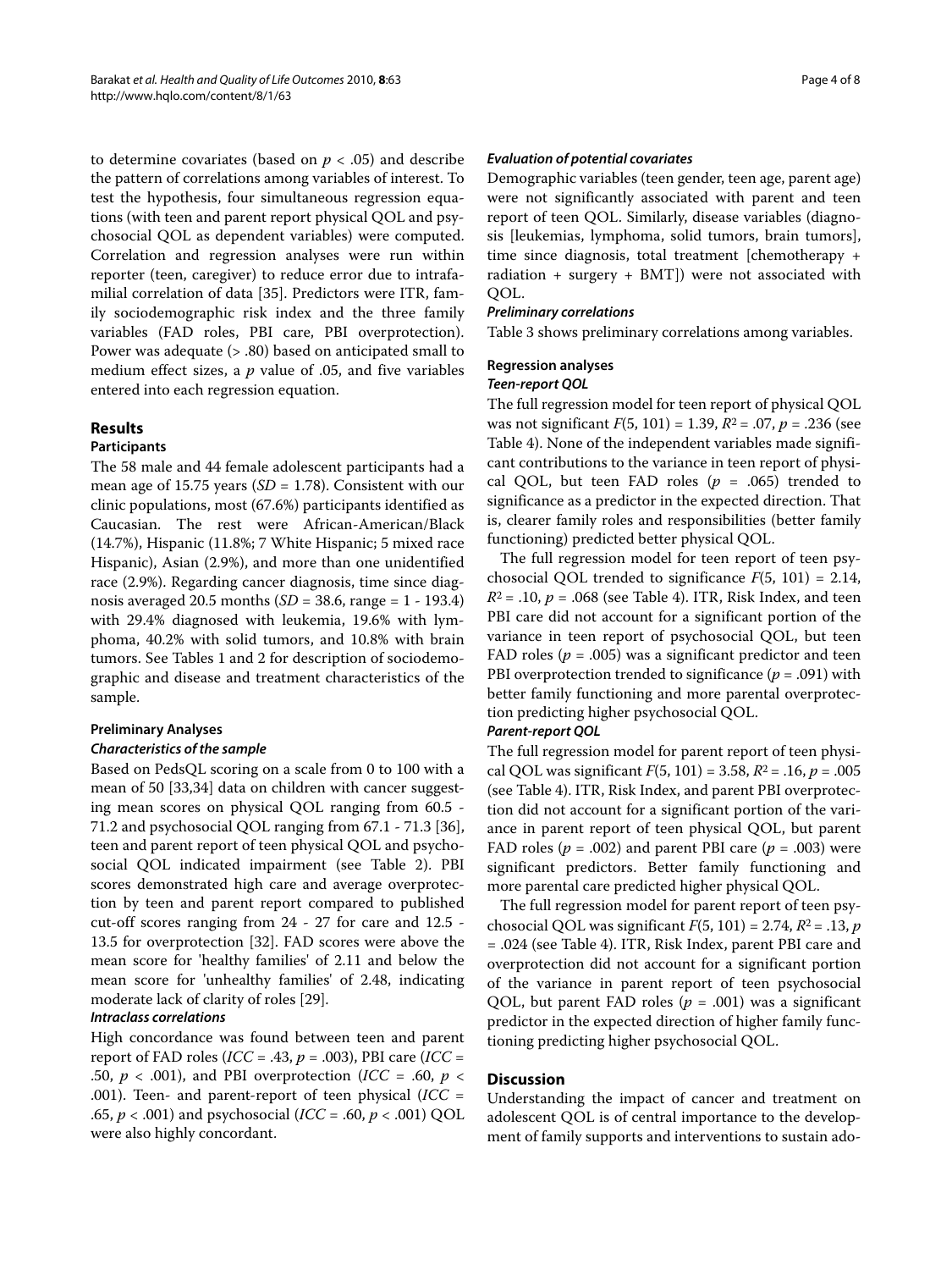to determine covariates (based on  $p < .05$ ) and describe the pattern of correlations among variables of interest. To test the hypothesis, four simultaneous regression equations (with teen and parent report physical QOL and psychosocial QOL as dependent variables) were computed. Correlation and regression analyses were run within reporter (teen, caregiver) to reduce error due to intrafamilial correlation of data [[35](#page-7-31)]. Predictors were ITR, family sociodemographic risk index and the three family variables (FAD roles, PBI care, PBI overprotection). Power was adequate (> .80) based on anticipated small to medium effect sizes, a *p* value of .05, and five variables entered into each regression equation.

# **Results**

# **Participants**

The 58 male and 44 female adolescent participants had a mean age of 15.75 years (*SD* = 1.78). Consistent with our clinic populations, most (67.6%) participants identified as Caucasian. The rest were African-American/Black (14.7%), Hispanic (11.8%; 7 White Hispanic; 5 mixed race Hispanic), Asian (2.9%), and more than one unidentified race (2.9%). Regarding cancer diagnosis, time since diagnosis averaged 20.5 months (*SD* = 38.6, range = 1 - 193.4) with 29.4% diagnosed with leukemia, 19.6% with lymphoma, 40.2% with solid tumors, and 10.8% with brain tumors. See Tables 1 and 2 for description of sociodemographic and disease and treatment characteristics of the sample.

# **Preliminary Analyses**

# **Characteristics of the sample**

Based on PedsQL scoring on a scale from 0 to 100 with a mean of 50 [[33](#page-7-29),[34](#page-7-30)] data on children with cancer suggesting mean scores on physical QOL ranging from 60.5 - 71.2 and psychosocial QOL ranging from 67.1 - 71.3 [\[36](#page-7-32)], teen and parent report of teen physical QOL and psychosocial QOL indicated impairment (see Table 2). PBI scores demonstrated high care and average overprotection by teen and parent report compared to published cut-off scores ranging from 24 - 27 for care and 12.5 - 13.5 for overprotection [[32\]](#page-7-28). FAD scores were above the mean score for 'healthy families' of 2.11 and below the mean score for 'unhealthy families' of 2.48, indicating moderate lack of clarity of roles [[29](#page-7-25)].

# **Intraclass correlations**

High concordance was found between teen and parent report of FAD roles (*ICC* = .43, *p* = .003), PBI care (*ICC* = .50, *p* < .001), and PBI overprotection (*ICC* = .60, *p* < .001). Teen- and parent-report of teen physical (*ICC* = .65, *p* < .001) and psychosocial (*ICC* = .60, *p* < .001) QOL were also highly concordant.

## **Evaluation of potential covariates**

Demographic variables (teen gender, teen age, parent age) were not significantly associated with parent and teen report of teen QOL. Similarly, disease variables (diagnosis [leukemias, lymphoma, solid tumors, brain tumors], time since diagnosis, total treatment [chemotherapy + radiation + surgery +  $BMT$ ) were not associated with QOL.

# **Preliminary correlations**

Table 3 shows preliminary correlations among variables.

### **Regression analyses Teen-report QOL**

The full regression model for teen report of physical QOL was not significant *F*(5, 101) = 1.39, *R*2 = .07, *p* = .236 (see Table 4). None of the independent variables made significant contributions to the variance in teen report of physical QOL, but teen FAD roles ( $p = .065$ ) trended to significance as a predictor in the expected direction. That is, clearer family roles and responsibilities (better family functioning) predicted better physical QOL.

The full regression model for teen report of teen psychosocial QOL trended to significance *F*(5, 101) = 2.14,  $R^2$  = .10,  $p$  = .068 (see Table 4). ITR, Risk Index, and teen PBI care did not account for a significant portion of the variance in teen report of psychosocial QOL, but teen FAD roles  $(p = .005)$  was a significant predictor and teen PBI overprotection trended to significance  $(p = .091)$  with better family functioning and more parental overprotection predicting higher psychosocial QOL.

# **Parent-report QOL**

The full regression model for parent report of teen physical QOL was significant *F*(5, 101) = 3.58, *R*2 = .16, *p* = .005 (see Table 4). ITR, Risk Index, and parent PBI overprotection did not account for a significant portion of the variance in parent report of teen physical QOL, but parent FAD roles ( $p = .002$ ) and parent PBI care ( $p = .003$ ) were significant predictors. Better family functioning and more parental care predicted higher physical QOL.

The full regression model for parent report of teen psychosocial QOL was significant  $F(5, 101) = 2.74$ ,  $R^2 = .13$ , *p* = .024 (see Table 4). ITR, Risk Index, parent PBI care and overprotection did not account for a significant portion of the variance in parent report of teen psychosocial QOL, but parent FAD roles (*p* = .001) was a significant predictor in the expected direction of higher family functioning predicting higher psychosocial QOL.

# **Discussion**

Understanding the impact of cancer and treatment on adolescent QOL is of central importance to the development of family supports and interventions to sustain ado-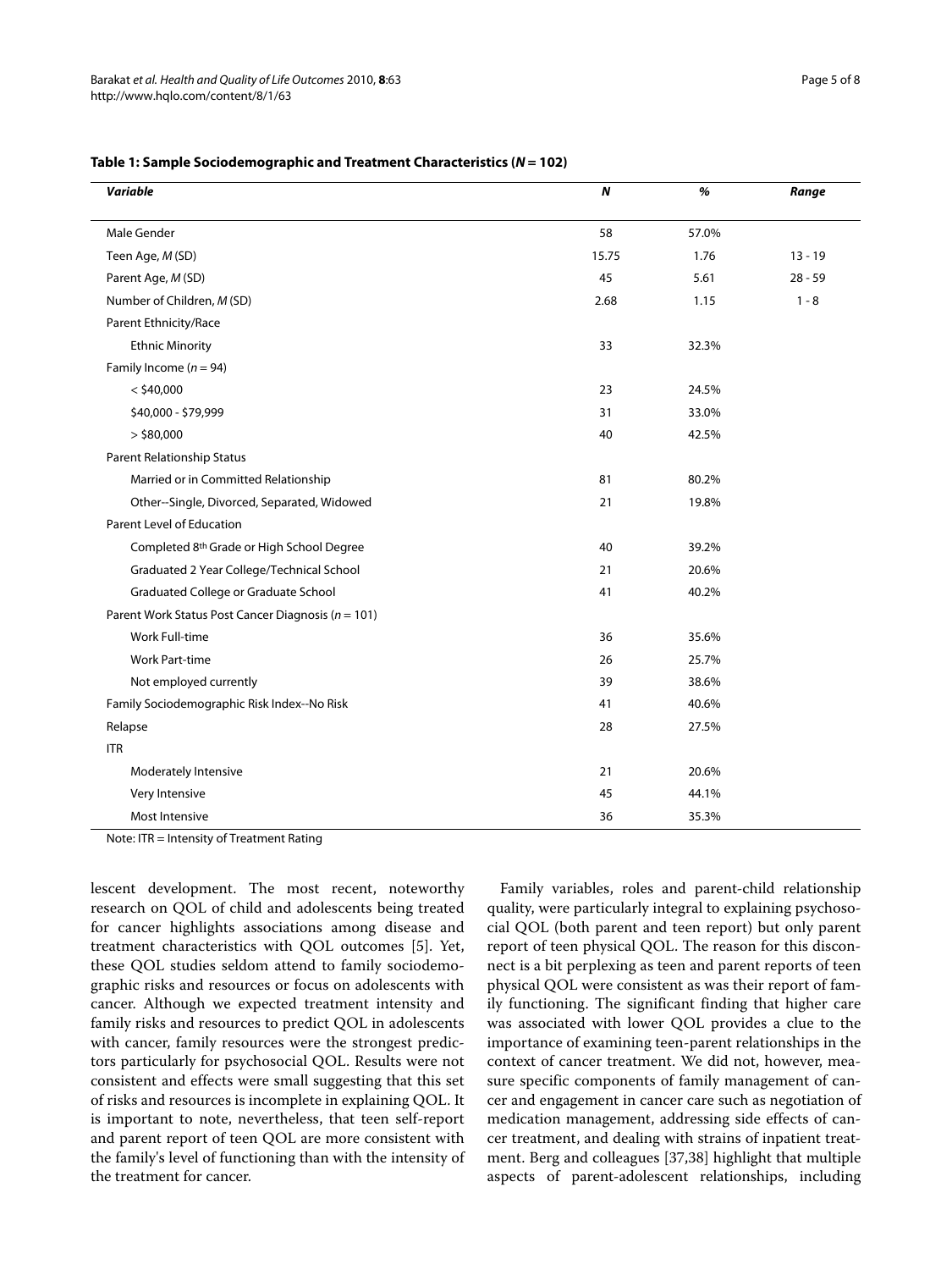| Table 1: Sample Sociodemographic and Treatment Characteristics (N $=$ 102) $\,$ |  |
|---------------------------------------------------------------------------------|--|
|---------------------------------------------------------------------------------|--|

| <b>Variable</b>                                        | N     | %     | Range     |
|--------------------------------------------------------|-------|-------|-----------|
| Male Gender                                            | 58    | 57.0% |           |
| Teen Age, M (SD)                                       | 15.75 | 1.76  | $13 - 19$ |
| Parent Age, M (SD)                                     | 45    | 5.61  | $28 - 59$ |
| Number of Children, M (SD)                             | 2.68  | 1.15  | $1 - 8$   |
| Parent Ethnicity/Race                                  |       |       |           |
| <b>Ethnic Minority</b>                                 | 33    | 32.3% |           |
| Family Income ( $n = 94$ )                             |       |       |           |
| $<$ \$40,000                                           | 23    | 24.5% |           |
| \$40,000 - \$79,999                                    | 31    | 33.0% |           |
| $>$ \$80,000                                           | 40    | 42.5% |           |
| Parent Relationship Status                             |       |       |           |
| Married or in Committed Relationship                   | 81    | 80.2% |           |
| Other--Single, Divorced, Separated, Widowed            | 21    | 19.8% |           |
| <b>Parent Level of Education</b>                       |       |       |           |
| Completed 8th Grade or High School Degree              | 40    | 39.2% |           |
| Graduated 2 Year College/Technical School              | 21    | 20.6% |           |
| Graduated College or Graduate School                   | 41    | 40.2% |           |
| Parent Work Status Post Cancer Diagnosis ( $n = 101$ ) |       |       |           |
| Work Full-time                                         | 36    | 35.6% |           |
| <b>Work Part-time</b>                                  | 26    | 25.7% |           |
| Not employed currently                                 | 39    | 38.6% |           |
| Family Sociodemographic Risk Index--No Risk            | 41    | 40.6% |           |
| Relapse                                                | 28    | 27.5% |           |
| <b>ITR</b>                                             |       |       |           |
| Moderately Intensive                                   | 21    | 20.6% |           |
| Very Intensive                                         | 45    | 44.1% |           |
| Most Intensive                                         | 36    | 35.3% |           |

Note: ITR = Intensity of Treatment Rating

lescent development. The most recent, noteworthy research on QOL of child and adolescents being treated for cancer highlights associations among disease and treatment characteristics with QOL outcomes [\[5](#page-7-2)]. Yet, these QOL studies seldom attend to family sociodemographic risks and resources or focus on adolescents with cancer. Although we expected treatment intensity and family risks and resources to predict QOL in adolescents with cancer, family resources were the strongest predictors particularly for psychosocial QOL. Results were not consistent and effects were small suggesting that this set of risks and resources is incomplete in explaining QOL. It is important to note, nevertheless, that teen self-report and parent report of teen QOL are more consistent with the family's level of functioning than with the intensity of the treatment for cancer.

Family variables, roles and parent-child relationship quality, were particularly integral to explaining psychosocial QOL (both parent and teen report) but only parent report of teen physical QOL. The reason for this disconnect is a bit perplexing as teen and parent reports of teen physical QOL were consistent as was their report of family functioning. The significant finding that higher care was associated with lower QOL provides a clue to the importance of examining teen-parent relationships in the context of cancer treatment. We did not, however, measure specific components of family management of cancer and engagement in cancer care such as negotiation of medication management, addressing side effects of cancer treatment, and dealing with strains of inpatient treatment. Berg and colleagues [\[37](#page-7-33)[,38](#page-7-34)] highlight that multiple aspects of parent-adolescent relationships, including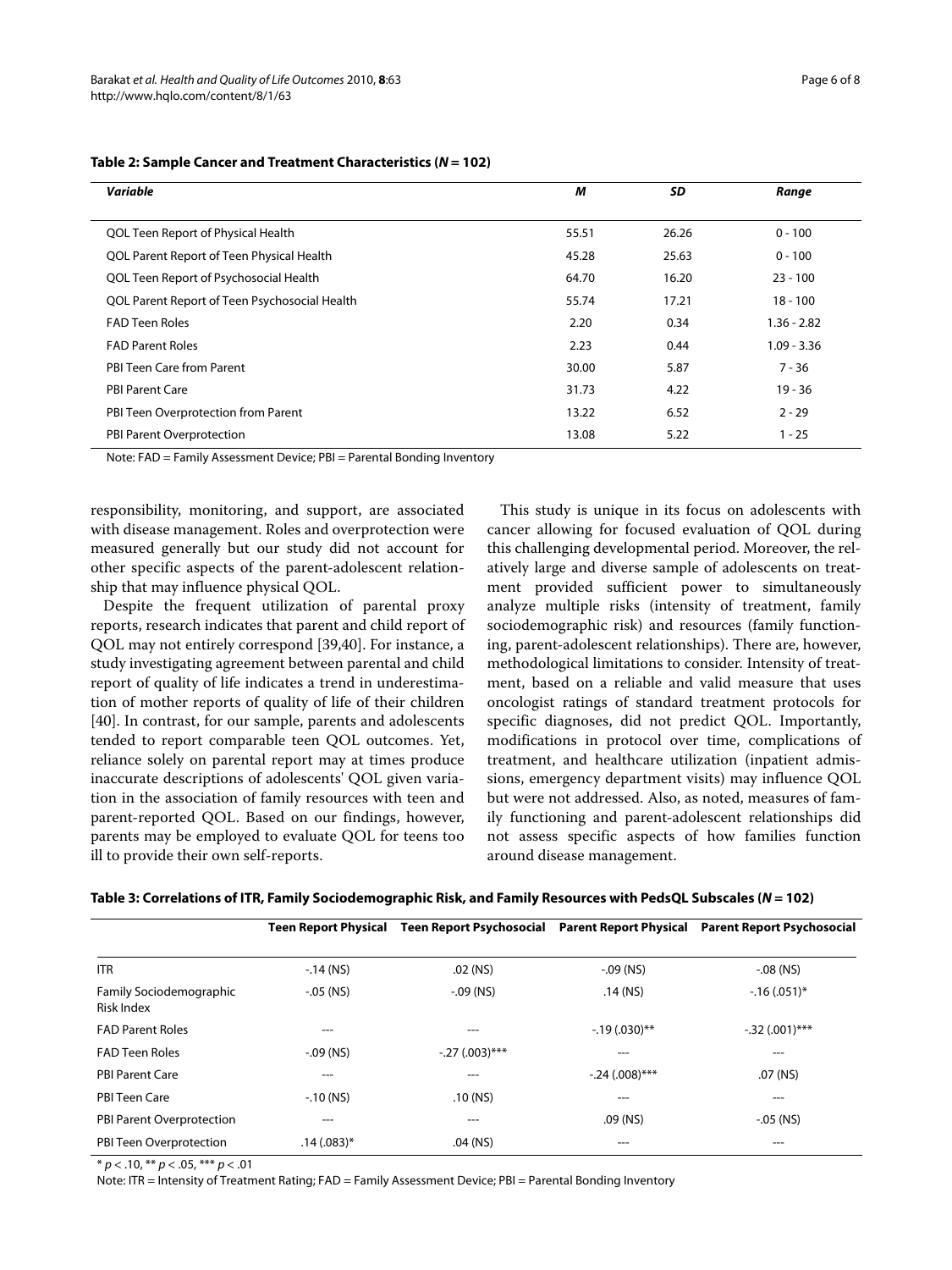|  |  | Table 2: Sample Cancer and Treatment Characteristics (N = 102) |
|--|--|----------------------------------------------------------------|
|--|--|----------------------------------------------------------------|

| <b>Variable</b>                               | М     | SD    | Range         |
|-----------------------------------------------|-------|-------|---------------|
| QOL Teen Report of Physical Health            | 55.51 | 26.26 | $0 - 100$     |
| QOL Parent Report of Teen Physical Health     | 45.28 | 25.63 | $0 - 100$     |
| QOL Teen Report of Psychosocial Health        | 64.70 | 16.20 | $23 - 100$    |
| QOL Parent Report of Teen Psychosocial Health | 55.74 | 17.21 | $18 - 100$    |
| <b>FAD Teen Roles</b>                         | 2.20  | 0.34  | $1.36 - 2.82$ |
| <b>FAD Parent Roles</b>                       | 2.23  | 0.44  | $1.09 - 3.36$ |
| PBI Teen Care from Parent                     | 30.00 | 5.87  | $7 - 36$      |
| <b>PBI Parent Care</b>                        | 31.73 | 4.22  | $19 - 36$     |
| PBI Teen Overprotection from Parent           | 13.22 | 6.52  | $2 - 29$      |
| PBI Parent Overprotection                     | 13.08 | 5.22  | $1 - 25$      |

Note: FAD = Family Assessment Device; PBI = Parental Bonding Inventory

responsibility, monitoring, and support, are associated with disease management. Roles and overprotection were measured generally but our study did not account for other specific aspects of the parent-adolescent relationship that may influence physical QOL.

Despite the frequent utilization of parental proxy reports, research indicates that parent and child report of QOL may not entirely correspond [[39](#page-7-35),[40](#page-7-36)]. For instance, a study investigating agreement between parental and child report of quality of life indicates a trend in underestimation of mother reports of quality of life of their children [[40\]](#page-7-36). In contrast, for our sample, parents and adolescents tended to report comparable teen QOL outcomes. Yet, reliance solely on parental report may at times produce inaccurate descriptions of adolescents' QOL given variation in the association of family resources with teen and parent-reported QOL. Based on our findings, however, parents may be employed to evaluate QOL for teens too ill to provide their own self-reports.

This study is unique in its focus on adolescents with cancer allowing for focused evaluation of QOL during this challenging developmental period. Moreover, the relatively large and diverse sample of adolescents on treatment provided sufficient power to simultaneously analyze multiple risks (intensity of treatment, family sociodemographic risk) and resources (family functioning, parent-adolescent relationships). There are, however, methodological limitations to consider. Intensity of treatment, based on a reliable and valid measure that uses oncologist ratings of standard treatment protocols for specific diagnoses, did not predict QOL. Importantly, modifications in protocol over time, complications of treatment, and healthcare utilization (inpatient admissions, emergency department visits) may influence QOL but were not addressed. Also, as noted, measures of family functioning and parent-adolescent relationships did not assess specific aspects of how families function around disease management.

| Table 3: Correlations of ITR, Family Sociodemographic Risk, and Family Resources with PedsQL Subscales (N = 102) |  |  |  |  |
|------------------------------------------------------------------------------------------------------------------|--|--|--|--|
|------------------------------------------------------------------------------------------------------------------|--|--|--|--|

|                                       | <b>Teen Report Physical</b> |                  |                  | Teen Report Psychosocial Parent Report Physical Parent Report Psychosocial |
|---------------------------------------|-----------------------------|------------------|------------------|----------------------------------------------------------------------------|
| <b>ITR</b>                            | $-.14$ (NS)                 | .02 (NS)         | $-.09$ (NS)      | $-.08$ (NS)                                                                |
| Family Sociodemographic<br>Risk Index | $-.05$ (NS)                 | $-.09$ (NS)      | $.14$ (NS)       | $-.16(.051)*$                                                              |
| <b>FAD Parent Roles</b>               | ---                         | ---              | $-19(0.030)$ **  | $-.32(.001)$ ***                                                           |
| <b>FAD Teen Roles</b>                 | $-.09$ (NS)                 | $-.27(.003)$ *** | ---              | ---                                                                        |
| <b>PBI Parent Care</b>                | $---$                       | ---              | $-.24(.008)$ *** | .07 (NS)                                                                   |
| <b>PBI Teen Care</b>                  | $-.10$ (NS)                 | $.10$ (NS)       | ---              | ---                                                                        |
| PBI Parent Overprotection             | $---$                       | ---              | .09 (NS)         | $-.05$ (NS)                                                                |
| PBI Teen Overprotection               | $.14(.083)*$                | $.04$ (NS)       | ---              | ---                                                                        |

 $* p < .10, ** p < .05, ** p < .01$ 

Note: ITR = Intensity of Treatment Rating; FAD = Family Assessment Device; PBI = Parental Bonding Inventory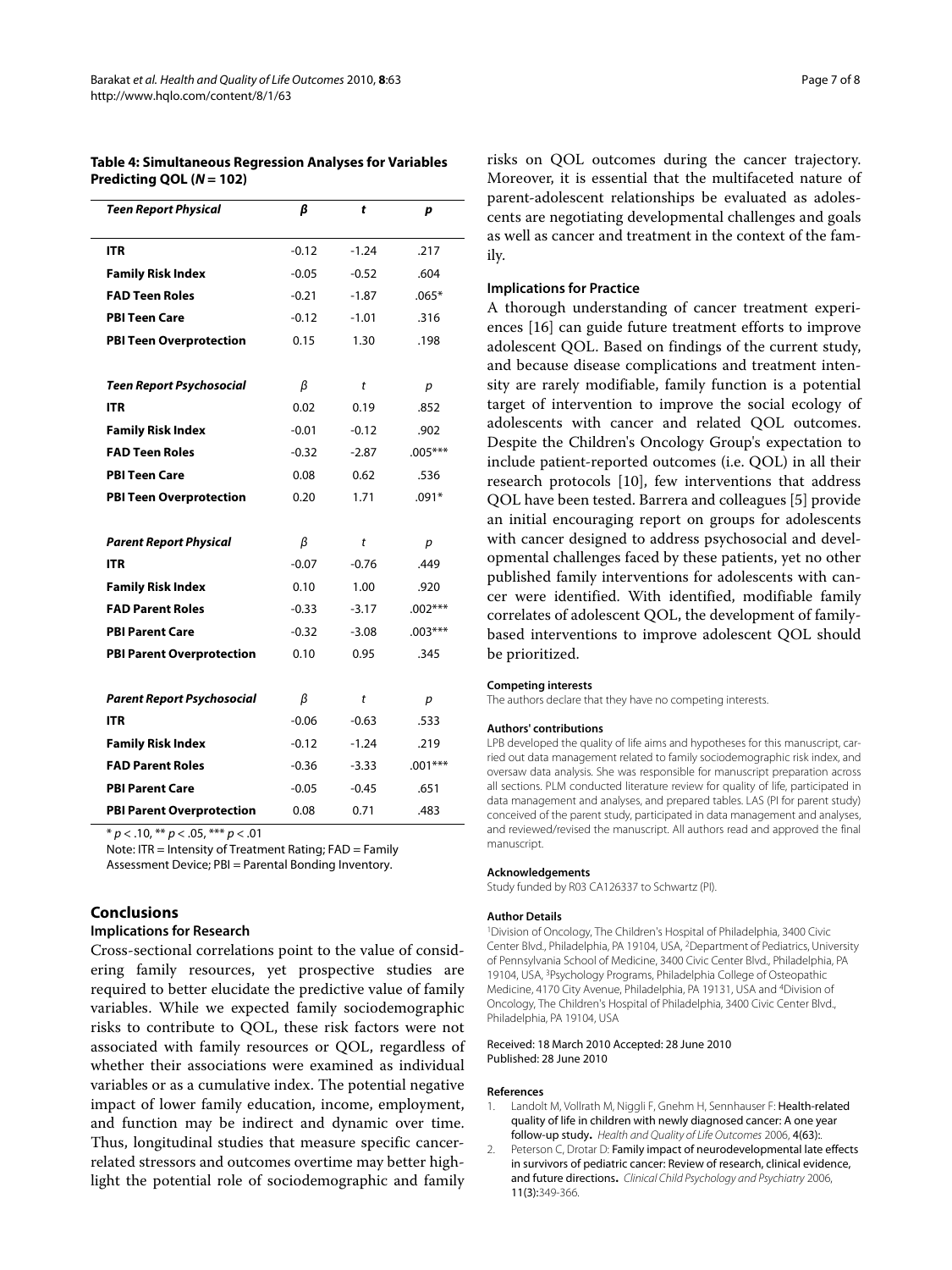# **Table 4: Simultaneous Regression Analyses for Variables Predicting QOL (N = 102)**

| <b>Teen Report Physical</b>       | β       | t       | р         |
|-----------------------------------|---------|---------|-----------|
| <b>ITR</b>                        | $-0.12$ | $-1.24$ | .217      |
| <b>Family Risk Index</b>          | $-0.05$ | $-0.52$ | .604      |
| <b>FAD Teen Roles</b>             | $-0.21$ | $-1.87$ | $.065*$   |
| <b>PBI Teen Care</b>              | $-0.12$ | $-1.01$ | .316      |
| <b>PBI Teen Overprotection</b>    | 0.15    | 1.30    | .198      |
|                                   |         |         |           |
| Teen Report Psychosocial          | β       | t       | p         |
| <b>ITR</b>                        | 0.02    | 0.19    | .852      |
| <b>Family Risk Index</b>          | $-0.01$ | $-0.12$ | .902      |
| <b>FAD Teen Roles</b>             | $-0.32$ | $-2.87$ | $.005***$ |
| <b>PBI Teen Care</b>              | 0.08    | 0.62    | .536      |
| <b>PBI Teen Overprotection</b>    | 0.20    | 1.71    | $.091*$   |
|                                   |         |         |           |
| <b>Parent Report Physical</b>     | β       | t       | р         |
| <b>ITR</b>                        | $-0.07$ | $-0.76$ | .449      |
| <b>Family Risk Index</b>          | 0.10    | 1.00    | .920      |
| <b>FAD Parent Roles</b>           | $-0.33$ | $-3.17$ | $.002***$ |
| <b>PBI Parent Care</b>            | $-0.32$ | $-3.08$ | $.003***$ |
| <b>PBI Parent Overprotection</b>  | 0.10    | 0.95    | .345      |
|                                   |         |         |           |
| <b>Parent Report Psychosocial</b> | β       | t       | р         |
| <b>ITR</b>                        | $-0.06$ | $-0.63$ | .533      |
| <b>Family Risk Index</b>          | $-0.12$ | $-1.24$ | .219      |
| <b>FAD Parent Roles</b>           | $-0.36$ | $-3.33$ | $.001***$ |
| <b>PBI Parent Care</b>            | $-0.05$ | $-0.45$ | .651      |
| <b>PBI Parent Overprotection</b>  | 0.08    | 0.71    | .483      |

 $* p < .10$ ,  $** p < .05$ ,  $*** p < .01$ 

Note: ITR = Intensity of Treatment Rating; FAD = Family Assessment Device; PBI = Parental Bonding Inventory.

# **Conclusions**

# **Implications for Research**

Cross-sectional correlations point to the value of considering family resources, yet prospective studies are required to better elucidate the predictive value of family variables. While we expected family sociodemographic risks to contribute to QOL, these risk factors were not associated with family resources or QOL, regardless of whether their associations were examined as individual variables or as a cumulative index. The potential negative impact of lower family education, income, employment, and function may be indirect and dynamic over time. Thus, longitudinal studies that measure specific cancerrelated stressors and outcomes overtime may better highlight the potential role of sociodemographic and family

risks on QOL outcomes during the cancer trajectory. Moreover, it is essential that the multifaceted nature of parent-adolescent relationships be evaluated as adolescents are negotiating developmental challenges and goals as well as cancer and treatment in the context of the family.

# **Implications for Practice**

A thorough understanding of cancer treatment experiences [\[16](#page-7-12)] can guide future treatment efforts to improve adolescent QOL. Based on findings of the current study, and because disease complications and treatment intensity are rarely modifiable, family function is a potential target of intervention to improve the social ecology of adolescents with cancer and related QOL outcomes. Despite the Children's Oncology Group's expectation to include patient-reported outcomes (i.e. QOL) in all their research protocols [[10\]](#page-7-7), few interventions that address QOL have been tested. Barrera and colleagues [\[5](#page-7-2)] provide an initial encouraging report on groups for adolescents with cancer designed to address psychosocial and developmental challenges faced by these patients, yet no other published family interventions for adolescents with cancer were identified. With identified, modifiable family correlates of adolescent QOL, the development of familybased interventions to improve adolescent QOL should be prioritized.

#### **Competing interests**

The authors declare that they have no competing interests.

#### **Authors' contributions**

LPB developed the quality of life aims and hypotheses for this manuscript, carried out data management related to family sociodemographic risk index, and oversaw data analysis. She was responsible for manuscript preparation across all sections. PLM conducted literature review for quality of life, participated in data management and analyses, and prepared tables. LAS (PI for parent study) conceived of the parent study, participated in data management and analyses, and reviewed/revised the manuscript. All authors read and approved the final manuscript.

#### **Acknowledgements**

Study funded by R03 CA126337 to Schwartz (PI).

#### **Author Details**

1Division of Oncology, The Children's Hospital of Philadelphia, 3400 Civic Center Blvd., Philadelphia, PA 19104, USA, 2Department of Pediatrics, University of Pennsylvania School of Medicine, 3400 Civic Center Blvd., Philadelphia, PA 19104, USA, 3Psychology Programs, Philadelphia College of Osteopathic Medicine, 4170 City Avenue, Philadelphia, PA 19131, USA and 4Division of Oncology, The Children's Hospital of Philadelphia, 3400 Civic Center Blvd., Philadelphia, PA 19104, USA

#### Received: 18 March 2010 Accepted: 28 June 2010 Published: 28 June 2010

#### **References**

- <span id="page-6-0"></span>1. Landolt M, Vollrath M, Niggli F, Gnehm H, Sennhauser F: Health-related quality of life in children with newly diagnosed cancer: A one year follow-up study**.** Health and Quality of Life Outcomes 2006, 4(63):.
- <span id="page-6-1"></span>2. Peterson C, Drotar D: Family impact of neurodevelopmental late effects in survivors of pediatric cancer: Review of research, clinical evidence, and future directions**.** Clinical Child Psychology and Psychiatry 2006, 11(3):349-366.